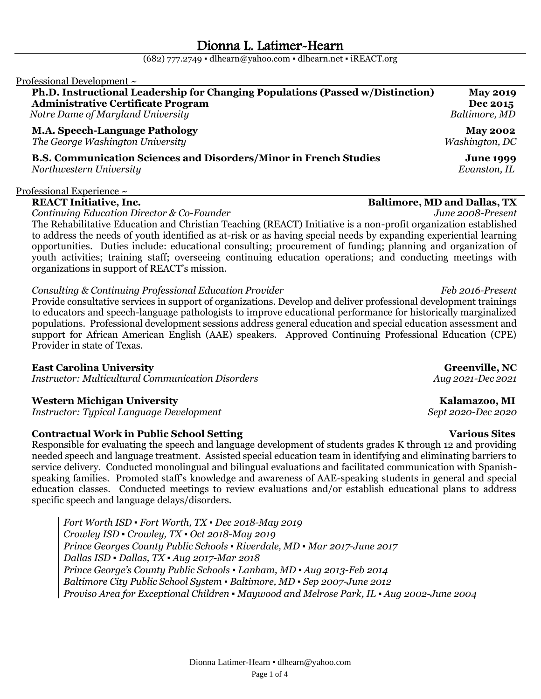$(682)$  777.2749 • [dlhearn@yahoo.com](mailto:dlhearn@yahoo.com) • [dlhearn.net](http://www.dlhearn.net/) • [iREACT.org](http://www.ireact.org/)

### Professional Development  $\sim$ **Ph.D. Instructional Leadership for Changing Populations (Passed w/Distinction) May 2019 Administrative Certificate Program Dec 2015**  *Notre Dame of Maryland University Baltimore, MD* **M.A. Speech-Language Pathology May 2002**   *The George Washington University Washington, DC* **B.S. Communication Sciences and Disorders/Minor in French Studies June 1999** *Northwestern University Evanston, IL*

### Professional Experience  $\sim$

### **REACT Initiative, Inc. Baltimore, MD and Dallas, TX**

*Continuing Education Director & Co-Founder June 2008-Present*

The Rehabilitative Education and Christian Teaching (REACT) Initiative is a non-profit organization established to address the needs of youth identified as at-risk or as having special needs by expanding experiential learning opportunities. Duties include: educational consulting; procurement of funding; planning and organization of youth activities; training staff; overseeing continuing education operations; and conducting meetings with organizations in support of REACT's mission.

### *Consulting & Continuing Professional Education Provider* Feb 2016-Present

Provide consultative services in support of organizations. Develop and deliver professional development trainings to educators and speech-language pathologists to improve educational performance for historically marginalized populations. Professional development sessions address general education and special education assessment and support for African American English (AAE) speakers. Approved Continuing Professional Education (CPE) Provider in state of Texas.

### **East Carolina University Greenville, NC**

*Instructor: Multicultural Communication Disorders* Aug 2021-Dec 2021

### **Western Michigan University Kalamazoo, MI**

*Instructor: Typical Language Development*  $\qquad \qquad$  Sept 2020-Dec 2020

### **Contractual Work in Public School Setting The Contractual Work in Public School Setting The Contractual Sites**

Responsible for evaluating the speech and language development of students grades K through 12 and providing needed speech and language treatment. Assisted special education team in identifying and eliminating barriers to service delivery. Conducted monolingual and bilingual evaluations and facilitated communication with Spanishspeaking families. Promoted staff's knowledge and awareness of AAE-speaking students in general and special education classes. Conducted meetings to review evaluations and/or establish educational plans to address specific speech and language delays/disorders.

*Fort Worth ISD ▪ Fort Worth, TX ▪ Dec 2018-May 2019 Crowley ISD ▪ Crowley, TX ▪ Oct 2018-May 2019 Prince Georges County Public Schools ▪ Riverdale, MD ▪ Mar 2017-June 2017 Dallas ISD ▪ Dallas, TX ▪ Aug 2017-Mar 2018 Prince George's County Public Schools ▪ Lanham, MD ▪ Aug 2013-Feb 2014 Baltimore City Public School System ▪ Baltimore, MD ▪ Sep 2007-June 2012 Proviso Area for Exceptional Children ▪ Maywood and Melrose Park, IL ▪ Aug 2002-June 2004*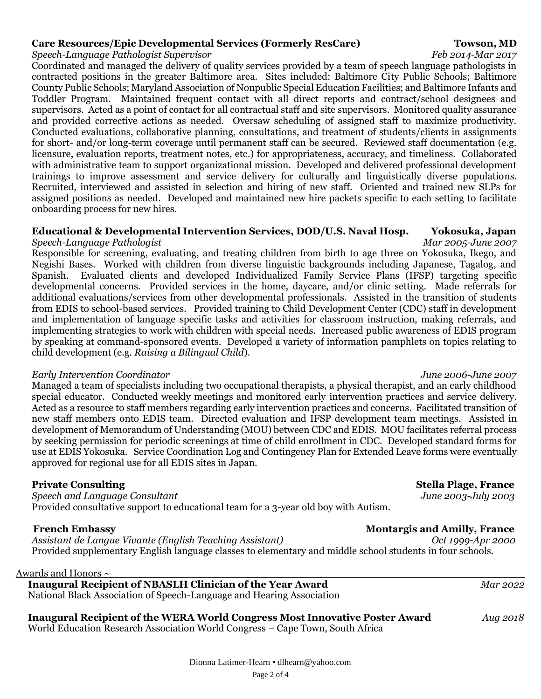### **Care Resources/Epic Developmental Services (Formerly ResCare) Towson, MD**

### *Speech-Language Pathologist Supervisor Feb 2014-Mar 2017*

Coordinated and managed the delivery of quality services provided by a team of speech language pathologists in contracted positions in the greater Baltimore area. Sites included: Baltimore City Public Schools; Baltimore County Public Schools; Maryland Association of Nonpublic Special Education Facilities; and Baltimore Infants and Toddler Program. Maintained frequent contact with all direct reports and contract/school designees and supervisors. Acted as a point of contact for all contractual staff and site supervisors. Monitored quality assurance and provided corrective actions as needed. Oversaw scheduling of assigned staff to maximize productivity. Conducted evaluations, collaborative planning, consultations, and treatment of students/clients in assignments for short- and/or long-term coverage until permanent staff can be secured. Reviewed staff documentation (e.g. licensure, evaluation reports, treatment notes, etc.) for appropriateness, accuracy, and timeliness. Collaborated with administrative team to support organizational mission. Developed and delivered professional development trainings to improve assessment and service delivery for culturally and linguistically diverse populations. Recruited, interviewed and assisted in selection and hiring of new staff. Oriented and trained new SLPs for assigned positions as needed. Developed and maintained new hire packets specific to each setting to facilitate onboarding process for new hires.

### **Educational & Developmental Intervention Services, DOD/U.S. Naval Hosp. Yokosuka, Japan** *Speech-Language Pathologist Mar 2005-June 2007*

Responsible for screening, evaluating, and treating children from birth to age three on Yokosuka, Ikego, and Negishi Bases. Worked with children from diverse linguistic backgrounds including Japanese, Tagalog, and Spanish. Evaluated clients and developed Individualized Family Service Plans (IFSP) targeting specific developmental concerns. Provided services in the home, daycare, and/or clinic setting. Made referrals for additional evaluations/services from other developmental professionals. Assisted in the transition of students from EDIS to school-based services. Provided training to Child Development Center (CDC) staff in development and implementation of language specific tasks and activities for classroom instruction, making referrals, and implementing strategies to work with children with special needs. Increased public awareness of EDIS program by speaking at command-sponsored events. Developed a variety of information pamphlets on topics relating to child development (e.g. *Raising a Bilingual Child*).

### *Early Intervention Coordinator June 2006-June 2007*

Managed a team of specialists including two occupational therapists, a physical therapist, and an early childhood special educator. Conducted weekly meetings and monitored early intervention practices and service delivery. Acted as a resource to staff members regarding early intervention practices and concerns. Facilitated transition of new staff members onto EDIS team. Directed evaluation and IFSP development team meetings. Assisted in development of Memorandum of Understanding (MOU) between CDC and EDIS. MOU facilitates referral process by seeking permission for periodic screenings at time of child enrollment in CDC. Developed standard forms for use at EDIS Yokosuka. Service Coordination Log and Contingency Plan for Extended Leave forms were eventually approved for regional use for all EDIS sites in Japan.

### **Private Consulting Stella Plage, France**

*Speech and Language Consultant June 2003-July 2003* Provided consultative support to educational team for a 3-year old boy with Autism.

### *Assistant de Langue Vivante (English Teaching Assistant)*

Provided supplementary English language classes to elementary and middle school students in four schools.

### Awards and Honors ~

 **Inaugural Recipient of NBASLH Clinician of the Year Award** *Mar 2022* National Black Association of Speech-Language and Hearing Association

## **Inaugural Recipient of the WERA World Congress Most Innovative Poster Award** *Aug 2018*

World Education Research Association World Congress – Cape Town, South Africa

# **French Embassy**<br>Assistant de Langue Vivante (English Teaching Assistant) Montargis and Amilly, France<br>Oct 1999-Apr 2000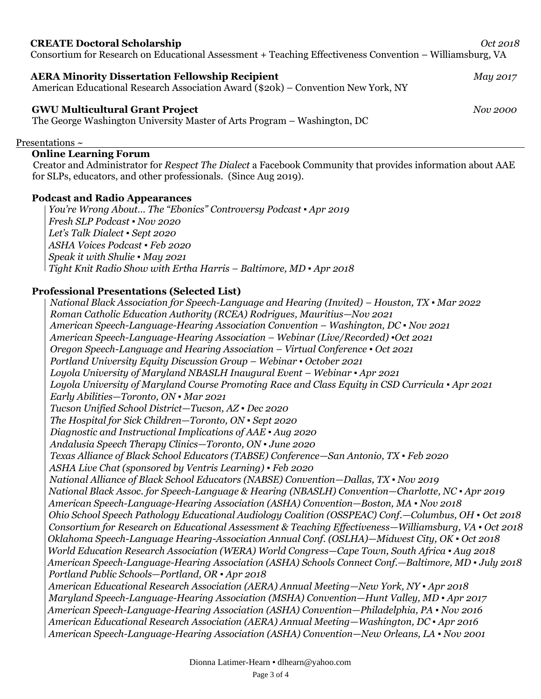### **CREATE Doctoral Scholarship** *Oct 2018*

Consortium for Research on Educational Assessment + Teaching Effectiveness Convention – Williamsburg, VA

### **AERA Minority Dissertation Fellowship Recipient** *May 2017*

American Educational Research Association Award (\$20k) – Convention New York, NY

### **GWU Multicultural Grant Project** *Nov 2000*

The George Washington University Master of Arts Program – Washington, DC

### Presentations ~

### **Online Learning Forum**

Creator and Administrator for *Respect The Dialect* a Facebook Community that provides information about AAE for SLPs, educators, and other professionals. (Since Aug 2019).

### **Podcast and Radio Appearances**

 *You're Wrong About… The "Ebonics" Controversy Podcast ▪ Apr 2019 Fresh SLP Podcast ▪ Nov 2020 Let's Talk Dialect ▪ Sept 2020 ASHA Voices Podcast ▪ Feb 2020 Speak it with Shulie ▪ May 2021 Tight Knit Radio Show with Ertha Harris – Baltimore, MD ▪ Apr 2018*

### **Professional Presentations (Selected List)**

*National Black Association f0r Speech-Language and Hearing (Invited) – Houston, TX ▪ Mar 2022 Roman Catholic Education Authority (RCEA) Rodrigues, Mauritius—Nov 2021 American Speech-Language-Hearing Association Convention – Washington, DC ▪ Nov 2021 American Speech-Language-Hearing Association – Webinar (Live/Recorded) ▪Oct 2021 Oregon Speech-Language and Hearing Association – Virtual Conference ▪ Oct 2021 Portland University Equity Discussion Group – Webinar ▪ October 2021 Loyola University of Maryland NBASLH Inaugural Event – Webinar ▪ Apr 2021 Loyola University of Maryland Course Promoting Race and Class Equity in CSD Curricula ▪ Apr 2021 Early Abilities—Toronto, ON ▪ Mar 2021 Tucson Unified School District—Tucson, AZ ▪ Dec 2020 The Hospital for Sick Children—Toronto, ON ▪ Sept 2020 Diagnostic and Instructional Implications of AAE ▪ Aug 2020 Andalusia Speech Therapy Clinics—Toronto, ON ▪ June 2020 Texas Alliance of Black School Educators (TABSE) Conference—San Antonio, TX ▪ Feb 2020 ASHA Live Chat (sponsored by Ventris Learning) ▪ Feb 2020 National Alliance of Black School Educators (NABSE) Convention—Dallas, TX ▪ Nov 2019 National Black Assoc. for Speech-Language & Hearing (NBASLH) Convention—Charlotte, NC ▪ Apr 2019 American Speech-Language-Hearing Association (ASHA) Convention—Boston, MA ▪ Nov 2018 Ohio School Speech Pathology Educational Audiology Coalition (OSSPEAC) Conf.—Columbus, OH ▪ Oct 2018 Consortium for Research on Educational Assessment & Teaching Effectiveness—Williamsburg, VA ▪ Oct 2018 Oklahoma Speech-Language Hearing-Association Annual Conf. (OSLHA)—Midwest City, OK ▪ Oct 2018 World Education Research Association (WERA) World Congress—Cape Town, South Africa ▪ Aug 2018 American Speech-Language-Hearing Association (ASHA) Schools Connect Conf.—Baltimore, MD ▪ July 2018 Portland Public Schools—Portland, OR ▪ Apr 2018 American Educational Research Association (AERA) Annual Meeting—New York, NY ▪ Apr 2018 Maryland Speech-Language-Hearing Association (MSHA) Convention—Hunt Valley, MD ▪ Apr 2017*  *American Speech-Language-Hearing Association (ASHA) Convention—Philadelphia, PA ▪ Nov 2016 American Educational Research Association (AERA) Annual Meeting—Washington, DC ▪ Apr 2016 American Speech-Language-Hearing Association (ASHA) Convention—New Orleans, LA ▪ Nov 2001*